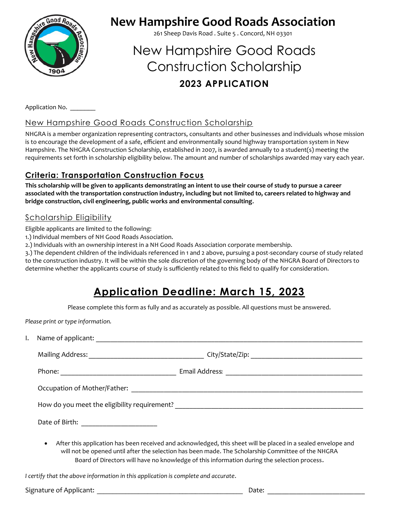

## **New Hampshire Good Roads Association**

261 Sheep Davis Road . Suite 5 . Concord, NH 03301

# New Hampshire Good Roads Construction Scholarship **2023 APPLICATION**

Application No.

#### New Hampshire Good Roads Construction Scholarship

NHGRA is a member organization representing contractors, consultants and other businesses and individuals whose mission is to encourage the development of a safe, efficient and environmentally sound highway transportation system in New Hampshire. The NHGRA Construction Scholarship, established in 2007, is awarded annually to a student(s) meeting the requirements set forth in scholarship eligibility below. The amount and number of scholarships awarded may vary each year.

#### **Criteria: Transportation Construction Focus**

**This scholarship will be given to applicants demonstrating an intent to use their course of study to pursue a career associated with the transportation construction industry, including but not limited to, careers related to highway and bridge construction, civil engineering, public works and environmental consulting.**

#### Scholarship Eligibility

Eligible applicants are limited to the following:

- 1.) Individual members of NH Good Roads Association.
- 2.) Individuals with an ownership interest in a NH Good Roads Association corporate membership.

3.) The dependent children of the individuals referenced in 1 and 2 above, pursuing a post-secondary course of study related to the construction industry. It will be within the sole discretion of the governing body of the NHGRA Board of Directors to determine whether the applicants course of study is sufficiently related to this field to qualify for consideration.

### **Application Deadline: March 15, 2023**

Please complete this form as fully and as accurately as possible. All questions must be answered.

*Please print or type information.*

| $\bullet$ | After this application has been received and acknowledged, this sheet will be placed in a sealed envelope and |
|-----------|---------------------------------------------------------------------------------------------------------------|

will not be opened until after the selection has been made. The Scholarship Committee of the NHGRA Board of Directors will have no knowledge of this information during the selection process.

*I certify that the above information in this application is complete and accurate*.

Signature of Applicant: *Date*: *Date*: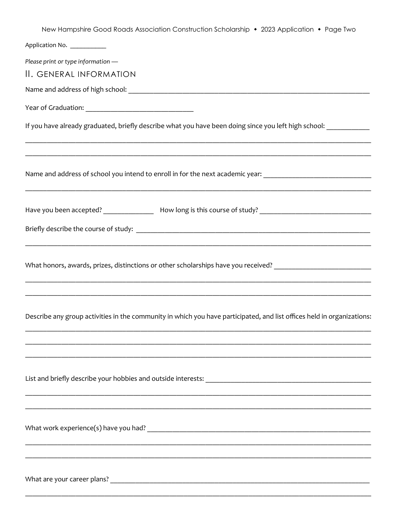| New Hampshire Good Roads Association Construction Scholarship • 2023 Application • Page Two                                                                                                        |
|----------------------------------------------------------------------------------------------------------------------------------------------------------------------------------------------------|
| Application No. ___________                                                                                                                                                                        |
| Please print or type information -                                                                                                                                                                 |
| II. GENERAL INFORMATION                                                                                                                                                                            |
|                                                                                                                                                                                                    |
|                                                                                                                                                                                                    |
| If you have already graduated, briefly describe what you have been doing since you left high school: _________                                                                                     |
| ,我们也不能在这里的时候,我们也不能在这里的时候,我们也不能在这里的时候,我们也不能会在这里的时候,我们也不能会在这里的时候,我们也不能会在这里的时候,我们也不<br>Name and address of school you intend to enroll in for the next academic year: _______________________________ |
| Have you been accepted? __________________ How long is this course of study? _________________________________                                                                                     |
|                                                                                                                                                                                                    |
| What honors, awards, prizes, distinctions or other scholarships have you received? ___________________________                                                                                     |
|                                                                                                                                                                                                    |
| Describe any group activities in the community in which you have participated, and list offices held in organizations:                                                                             |
|                                                                                                                                                                                                    |
|                                                                                                                                                                                                    |
|                                                                                                                                                                                                    |
|                                                                                                                                                                                                    |
|                                                                                                                                                                                                    |
|                                                                                                                                                                                                    |
|                                                                                                                                                                                                    |